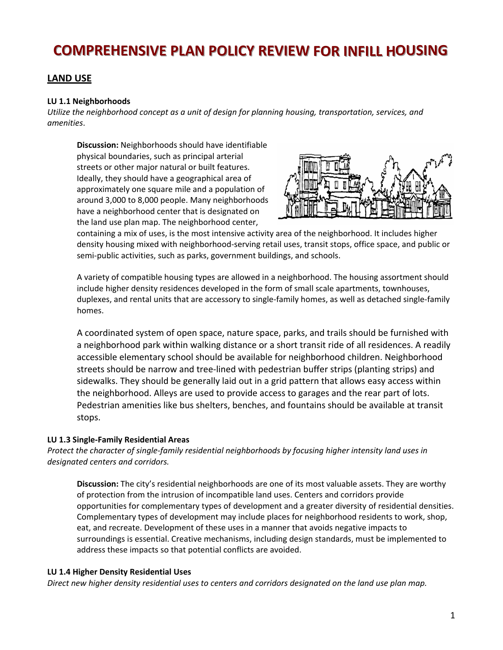# **COMPREHENSIVE PLAN POLICY REVIEW FOR INFILL HOUSING**

## **LAND USE**

#### **LU 1.1 Neighborhoods**

*Utilize the neighborhood concept as a unit of design for planning housing, transportation, services, and amenities*.

**Discussion:** Neighborhoods should have identifiable physical boundaries, such as principal arterial streets or other major natural or built features. Ideally, they should have a geographical area of approximately one square mile and a population of around 3,000 to 8,000 people. Many neighborhoods have a neighborhood center that is designated on the land use plan map. The neighborhood center,



containing a mix of uses, is the most intensive activity area of the neighborhood. It includes higher density housing mixed with neighborhood‐serving retail uses, transit stops, office space, and public or semi‐public activities, such as parks, government buildings, and schools.

A variety of compatible housing types are allowed in a neighborhood. The housing assortment should include higher density residences developed in the form of small scale apartments, townhouses, duplexes, and rental units that are accessory to single‐family homes, as well as detached single‐family homes.

A coordinated system of open space, nature space, parks, and trails should be furnished with a neighborhood park within walking distance or a short transit ride of all residences. A readily accessible elementary school should be available for neighborhood children. Neighborhood streets should be narrow and tree‐lined with pedestrian buffer strips (planting strips) and sidewalks. They should be generally laid out in a grid pattern that allows easy access within the neighborhood. Alleys are used to provide access to garages and the rear part of lots. Pedestrian amenities like bus shelters, benches, and fountains should be available at transit stops.

#### **LU 1.3 Single‐Family Residential Areas**

*Protect the character of single‐family residential neighborhoods by focusing higher intensity land uses in designated centers and corridors.* 

**Discussion:** The city's residential neighborhoods are one of its most valuable assets. They are worthy of protection from the intrusion of incompatible land uses. Centers and corridors provide opportunities for complementary types of development and a greater diversity of residential densities. Complementary types of development may include places for neighborhood residents to work, shop, eat, and recreate. Development of these uses in a manner that avoids negative impacts to surroundings is essential. Creative mechanisms, including design standards, must be implemented to address these impacts so that potential conflicts are avoided.

#### **LU 1.4 Higher Density Residential Uses**

*Direct new higher density residential uses to centers and corridors designated on the land use plan map.*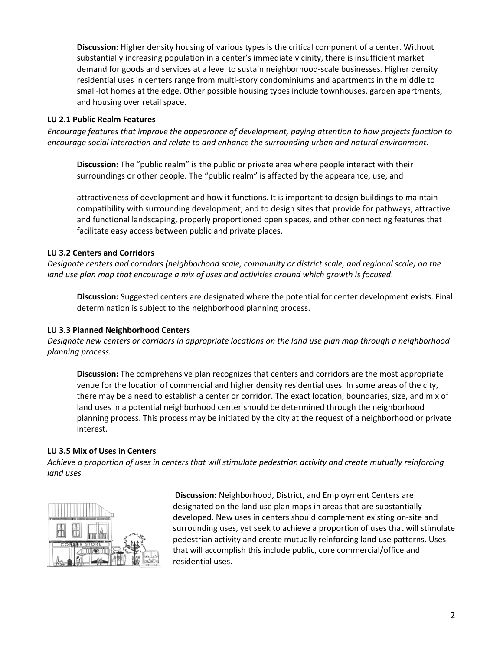**Discussion:** Higher density housing of various types is the critical component of a center. Without substantially increasing population in a center's immediate vicinity, there is insufficient market demand for goods and services at a level to sustain neighborhood‐scale businesses. Higher density residential uses in centers range from multi‐story condominiums and apartments in the middle to small-lot homes at the edge. Other possible housing types include townhouses, garden apartments, and housing over retail space.

#### **LU 2.1 Public Realm Features**

*Encourage features that improve the appearance of development, paying attention to how projects function to encourage social interaction and relate to and enhance the surrounding urban and natural environment*.

**Discussion:** The "public realm" is the public or private area where people interact with their surroundings or other people. The "public realm" is affected by the appearance, use, and

attractiveness of development and how it functions. It is important to design buildings to maintain compatibility with surrounding development, and to design sites that provide for pathways, attractive and functional landscaping, properly proportioned open spaces, and other connecting features that facilitate easy access between public and private places.

## **LU 3.2 Centers and Corridors**

*Designate centers and corridors (neighborhood scale, community or district scale, and regional scale) on the land use plan map that encourage a mix of uses and activities around which growth is focused*.

**Discussion:** Suggested centers are designated where the potential for center development exists. Final determination is subject to the neighborhood planning process.

#### **LU 3.3 Planned Neighborhood Centers**

Designate new centers or corridors in appropriate locations on the land use plan map through a neighborhood *planning process.*

**Discussion:** The comprehensive plan recognizes that centers and corridors are the most appropriate venue for the location of commercial and higher density residential uses. In some areas of the city, there may be a need to establish a center or corridor. The exact location, boundaries, size, and mix of land uses in a potential neighborhood center should be determined through the neighborhood planning process. This process may be initiated by the city at the request of a neighborhood or private interest.

#### **LU 3.5 Mix of Uses in Centers**

*Achieve a proportion of uses in centers that will stimulate pedestrian activity and create mutually reinforcing land uses.*



**Discussion:** Neighborhood, District, and Employment Centers are designated on the land use plan maps in areas that are substantially developed. New uses in centers should complement existing on‐site and surrounding uses, yet seek to achieve a proportion of uses that will stimulate pedestrian activity and create mutually reinforcing land use patterns. Uses that will accomplish this include public, core commercial/office and residential uses.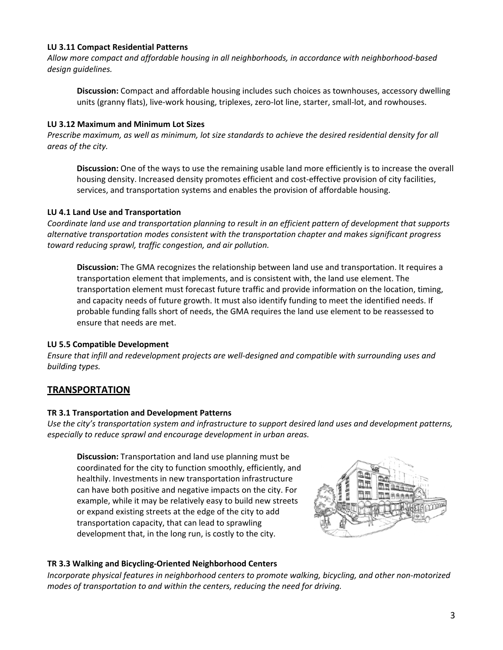#### **LU 3.11 Compact Residential Patterns**

*Allow more compact and affordable housing in all neighborhoods, in accordance with neighborhood‐based design guidelines.*

**Discussion:** Compact and affordable housing includes such choices as townhouses, accessory dwelling units (granny flats), live-work housing, triplexes, zero-lot line, starter, small-lot, and rowhouses.

#### **LU 3.12 Maximum and Minimum Lot Sizes**

Prescribe maximum, as well as minimum, lot size standards to achieve the desired residential density for all *areas of the city.*

**Discussion:** One of the ways to use the remaining usable land more efficiently is to increase the overall housing density. Increased density promotes efficient and cost-effective provision of city facilities, services, and transportation systems and enables the provision of affordable housing.

#### **LU 4.1 Land Use and Transportation**

*Coordinate land use and transportation planning to result in an efficient pattern of development that supports alternative transportation modes consistent with the transportation chapter and makes significant progress toward reducing sprawl, traffic congestion, and air pollution.*

**Discussion:** The GMA recognizes the relationship between land use and transportation. It requires a transportation element that implements, and is consistent with, the land use element. The transportation element must forecast future traffic and provide information on the location, timing, and capacity needs of future growth. It must also identify funding to meet the identified needs. If probable funding falls short of needs, the GMA requires the land use element to be reassessed to ensure that needs are met.

#### **LU 5.5 Compatible Development**

*Ensure that infill and redevelopment projects are well‐designed and compatible with surrounding uses and building types.*

## **TRANSPORTATION**

#### **TR 3.1 Transportation and Development Patterns**

*Use the city's transportation system and infrastructure to support desired land uses and development patterns, especially to reduce sprawl and encourage development in urban areas.*

**Discussion:** Transportation and land use planning must be coordinated for the city to function smoothly, efficiently, and healthily. Investments in new transportation infrastructure can have both positive and negative impacts on the city. For example, while it may be relatively easy to build new streets or expand existing streets at the edge of the city to add transportation capacity, that can lead to sprawling development that, in the long run, is costly to the city.



#### **TR 3.3 Walking and Bicycling‐Oriented Neighborhood Centers**

*Incorporate physical features in neighborhood centers to promote walking, bicycling, and other non‐motorized modes of transportation to and within the centers, reducing the need for driving.*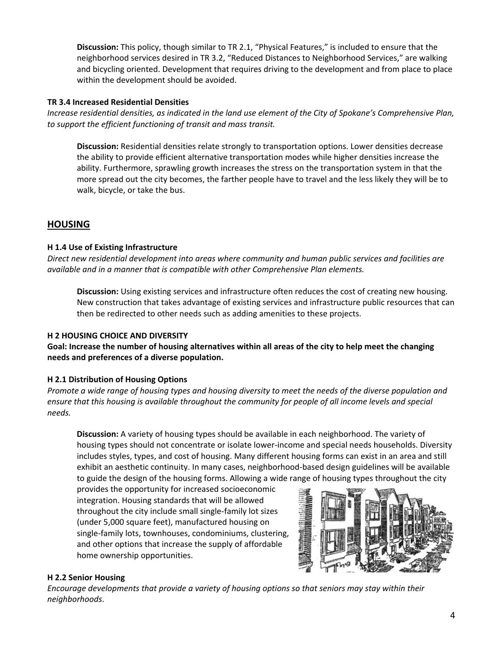**Discussion:** This policy, though similar to TR 2.1, "Physical Features," is included to ensure that the neighborhood services desired in TR 3.2, "Reduced Distances to Neighborhood Services," are walking and bicycling oriented. Development that requires driving to the development and from place to place within the development should be avoided.

#### **TR 3.4 Increased Residential Densities**

Increase residential densities, as indicated in the land use element of the City of Spokane's Comprehensive Plan, *to support the efficient functioning of transit and mass transit.*

**Discussion:** Residential densities relate strongly to transportation options. Lower densities decrease the ability to provide efficient alternative transportation modes while higher densities increase the ability. Furthermore, sprawling growth increases the stress on the transportation system in that the more spread out the city becomes, the farther people have to travel and the less likely they will be to walk, bicycle, or take the bus.

# **HOUSING**

#### **H 1.4 Use of Existing Infrastructure**

*Direct new residential development into areas where community and human public services and facilities are available and in a manner that is compatible with other Comprehensive Plan elements.*

**Discussion:** Using existing services and infrastructure often reduces the cost of creating new housing. New construction that takes advantage of existing services and infrastructure public resources that can then be redirected to other needs such as adding amenities to these projects.

## **H 2 HOUSING CHOICE AND DIVERSITY**

Goal: Increase the number of housing alternatives within all areas of the city to help meet the changing **needs and preferences of a diverse population.**

## **H 2.1 Distribution of Housing Options**

Promote a wide range of housing types and housing diversity to meet the needs of the diverse population and ensure that this housing is available throughout the community for people of all income levels and special *needs.*

**Discussion:** A variety of housing types should be available in each neighborhood. The variety of housing types should not concentrate or isolate lower-income and special needs households. Diversity includes styles, types, and cost of housing. Many different housing forms can exist in an area and still exhibit an aesthetic continuity. In many cases, neighborhood‐based design guidelines will be available to guide the design of the housing forms. Allowing a wide range of housing types throughout the city

provides the opportunity for increased socioeconomic integration. Housing standards that will be allowed throughout the city include small single‐family lot sizes (under 5,000 square feet), manufactured housing on single-family lots, townhouses, condominiums, clustering, and other options that increase the supply of affordable home ownership opportunities.



## **H 2.2 Senior Housing**

*Encourage developments that provide a variety of housing options so that seniors may stay within their neighborhoods*.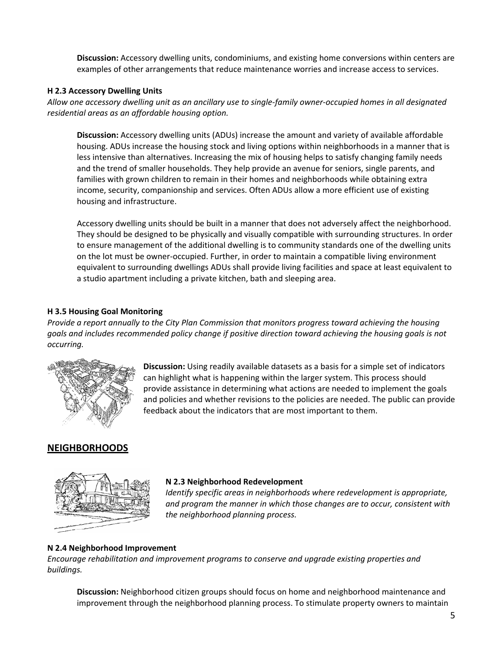**Discussion:** Accessory dwelling units, condominiums, and existing home conversions within centers are examples of other arrangements that reduce maintenance worries and increase access to services.

#### **H 2.3 Accessory Dwelling Units**

Allow one accessory dwelling unit as an ancillary use to single-family owner-occupied homes in all designated *residential areas as an affordable housing option.*

**Discussion:** Accessory dwelling units (ADUs) increase the amount and variety of available affordable housing. ADUs increase the housing stock and living options within neighborhoods in a manner that is less intensive than alternatives. Increasing the mix of housing helps to satisfy changing family needs and the trend of smaller households. They help provide an avenue for seniors, single parents, and families with grown children to remain in their homes and neighborhoods while obtaining extra income, security, companionship and services. Often ADUs allow a more efficient use of existing housing and infrastructure.

Accessory dwelling units should be built in a manner that does not adversely affect the neighborhood. They should be designed to be physically and visually compatible with surrounding structures. In order to ensure management of the additional dwelling is to community standards one of the dwelling units on the lot must be owner‐occupied. Further, in order to maintain a compatible living environment equivalent to surrounding dwellings ADUs shall provide living facilities and space at least equivalent to a studio apartment including a private kitchen, bath and sleeping area.

## **H 3.5 Housing Goal Monitoring**

*Provide a report annually to the City Plan Commission that monitors progress toward achieving the housing goals and includes recommended policy change if positive direction toward achieving the housing goals is not occurring.*



**Discussion:** Using readily available datasets as a basis for a simple set of indicators can highlight what is happening within the larger system. This process should provide assistance in determining what actions are needed to implement the goals and policies and whether revisions to the policies are needed. The public can provide feedback about the indicators that are most important to them.

# **NEIGHBORHOODS**



#### **N 2.3 Neighborhood Redevelopment**

*Identify specific areas in neighborhoods where redevelopment is appropriate, and program the manner in which those changes are to occur, consistent with the neighborhood planning process.*

## **N 2.4 Neighborhood Improvement**

*Encourage rehabilitation and improvement programs to conserve and upgrade existing properties and buildings.*

**Discussion:** Neighborhood citizen groups should focus on home and neighborhood maintenance and improvement through the neighborhood planning process. To stimulate property owners to maintain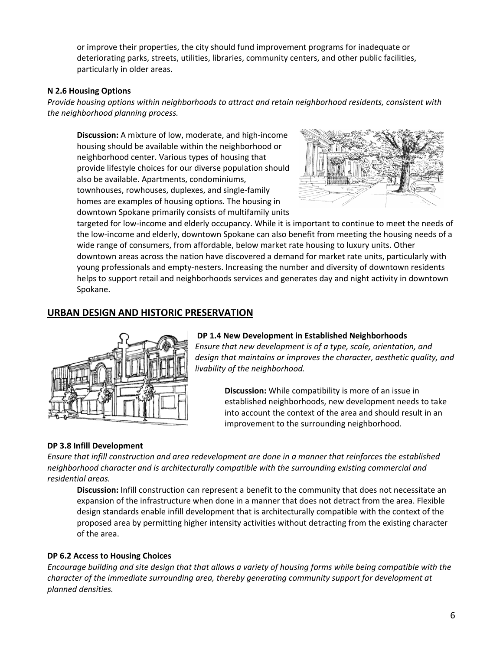or improve their properties, the city should fund improvement programs for inadequate or deteriorating parks, streets, utilities, libraries, community centers, and other public facilities, particularly in older areas.

#### **N 2.6 Housing Options**

*Provide housing options within neighborhoods to attract and retain neighborhood residents, consistent with the neighborhood planning process.*

**Discussion:** A mixture of low, moderate, and high‐income housing should be available within the neighborhood or neighborhood center. Various types of housing that provide lifestyle choices for our diverse population should also be available. Apartments, condominiums, townhouses, rowhouses, duplexes, and single‐family homes are examples of housing options. The housing in downtown Spokane primarily consists of multifamily units



targeted for low‐income and elderly occupancy. While it is important to continue to meet the needs of the low‐income and elderly, downtown Spokane can also benefit from meeting the housing needs of a wide range of consumers, from affordable, below market rate housing to luxury units. Other downtown areas across the nation have discovered a demand for market rate units, particularly with young professionals and empty‐nesters. Increasing the number and diversity of downtown residents helps to support retail and neighborhoods services and generates day and night activity in downtown Spokane.

# **URBAN DESIGN AND HISTORIC PRESERVATION**



#### **DP 1.4 New Development in Established Neighborhoods**

*Ensure that new development is of a type, scale, orientation, and design that maintains or improves the character, aesthetic quality, and livability of the neighborhood.*

> **Discussion:** While compatibility is more of an issue in established neighborhoods, new development needs to take into account the context of the area and should result in an improvement to the surrounding neighborhood.

## **DP 3.8 Infill Development**

*Ensure that infill construction and area redevelopment are done in a manner that reinforces the established neighborhood character and is architecturally compatible with the surrounding existing commercial and residential areas.*

**Discussion:** Infill construction can represent a benefit to the community that does not necessitate an expansion of the infrastructure when done in a manner that does not detract from the area. Flexible design standards enable infill development that is architecturally compatible with the context of the proposed area by permitting higher intensity activities without detracting from the existing character of the area.

#### **DP 6.2 Access to Housing Choices**

Encourage building and site design that that allows a variety of housing forms while being compatible with the *character of the immediate surrounding area, thereby generating community support for development at planned densities.*